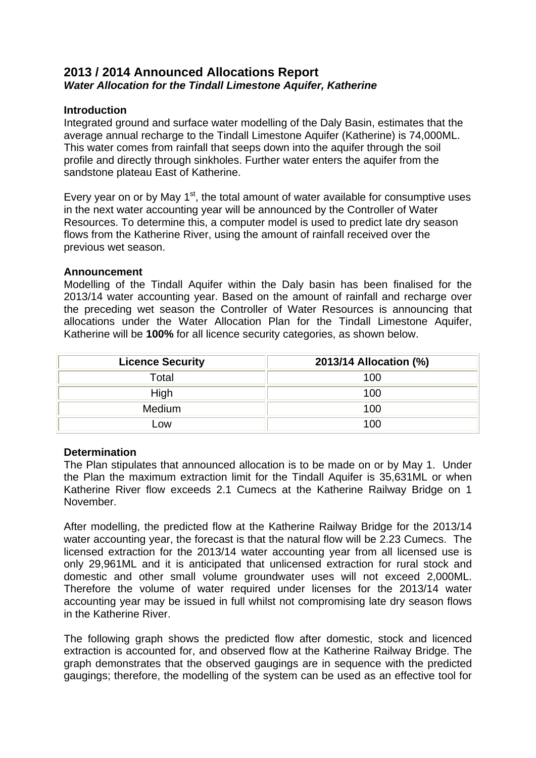# **2013 / 2014 Announced Allocations Report**  *Water Allocation for the Tindall Limestone Aquifer, Katherine*

# **Introduction**

Integrated ground and surface water modelling of the Daly Basin, estimates that the average annual recharge to the Tindall Limestone Aquifer (Katherine) is 74,000ML. This water comes from rainfall that seeps down into the aquifer through the soil profile and directly through sinkholes. Further water enters the aquifer from the sandstone plateau East of Katherine.

Every year on or by May  $1<sup>st</sup>$ , the total amount of water available for consumptive uses in the next water accounting year will be announced by the Controller of Water Resources. To determine this, a computer model is used to predict late dry season flows from the Katherine River, using the amount of rainfall received over the previous wet season.

# **Announcement**

Modelling of the Tindall Aquifer within the Daly basin has been finalised for the 2013/14 water accounting year. Based on the amount of rainfall and recharge over the preceding wet season the Controller of Water Resources is announcing that allocations under the Water Allocation Plan for the Tindall Limestone Aquifer, Katherine will be **100%** for all licence security categories, as shown below.

| <b>Licence Security</b> | 2013/14 Allocation (%) |
|-------------------------|------------------------|
| Total                   | 100                    |
| High                    | 100                    |
| Medium                  | 100                    |
| Low                     | 100                    |

# **Determination**

The Plan stipulates that announced allocation is to be made on or by May 1. Under the Plan the maximum extraction limit for the Tindall Aquifer is 35,631ML or when Katherine River flow exceeds 2.1 Cumecs at the Katherine Railway Bridge on 1 November.

After modelling, the predicted flow at the Katherine Railway Bridge for the 2013/14 water accounting year, the forecast is that the natural flow will be 2.23 Cumecs. The licensed extraction for the 2013/14 water accounting year from all licensed use is only 29,961ML and it is anticipated that unlicensed extraction for rural stock and domestic and other small volume groundwater uses will not exceed 2,000ML. Therefore the volume of water required under licenses for the 2013/14 water accounting year may be issued in full whilst not compromising late dry season flows in the Katherine River.

The following graph shows the predicted flow after domestic, stock and licenced extraction is accounted for, and observed flow at the Katherine Railway Bridge. The graph demonstrates that the observed gaugings are in sequence with the predicted gaugings; therefore, the modelling of the system can be used as an effective tool for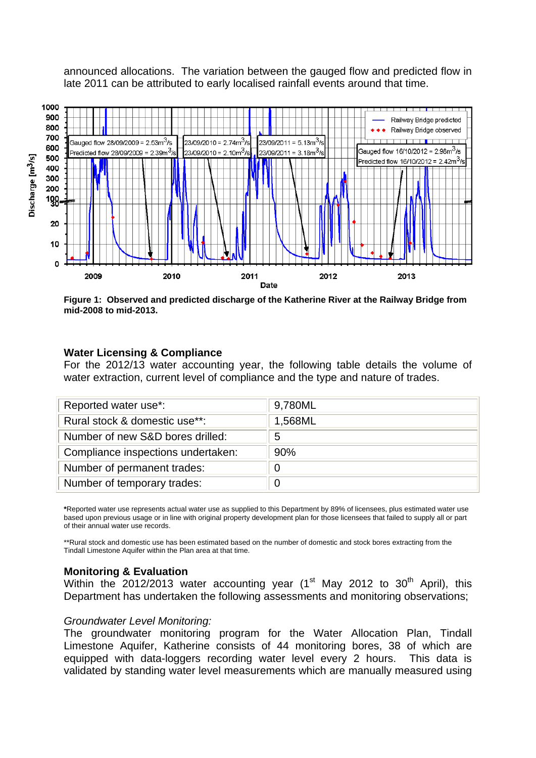announced allocations. The variation between the gauged flow and predicted flow in late 2011 can be attributed to early localised rainfall events around that time.



**Figure 1: Observed and predicted discharge of the Katherine River at the Railway Bridge from mid-2008 to mid-2013.** 

#### **Water Licensing & Compliance**

For the 2012/13 water accounting year, the following table details the volume of water extraction, current level of compliance and the type and nature of trades.

| Reported water use*:               | 9,780ML |
|------------------------------------|---------|
| Rural stock & domestic use**:      | 1,568ML |
| Number of new S&D bores drilled:   | 5       |
| Compliance inspections undertaken: | 90%     |
| Number of permanent trades:        | 0       |
| Number of temporary trades:        |         |

**\***Reported water use represents actual water use as supplied to this Department by 89% of licensees, plus estimated water use based upon previous usage or in line with original property development plan for those licensees that failed to supply all or part of their annual water use records.

\*\*Rural stock and domestic use has been estimated based on the number of domestic and stock bores extracting from the Tindall Limestone Aquifer within the Plan area at that time.

#### **Monitoring & Evaluation**

Within the 2012/2013 water accounting year (1<sup>st</sup> May 2012 to 30<sup>th</sup> April), this Department has undertaken the following assessments and monitoring observations;

#### *Groundwater Level Monitoring:*

The groundwater monitoring program for the Water Allocation Plan, Tindall Limestone Aquifer, Katherine consists of 44 monitoring bores, 38 of which are equipped with data-loggers recording water level every 2 hours. This data is validated by standing water level measurements which are manually measured using